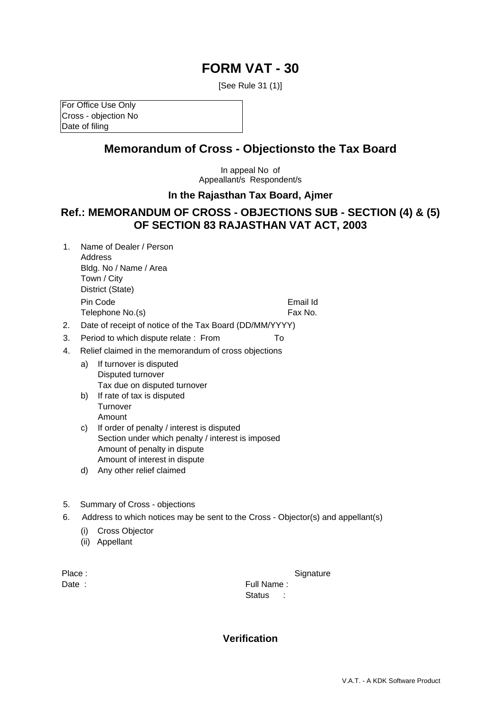# **FORM VAT - 30**

[See Rule 31 (1)]

For Office Use Only Cross - objection No Date of filing

## **Memorandum of Cross - Objectionsto the Tax Board**

In appeal No of Appeallant/s Respondent/s

#### **In the Rajasthan Tax Board, Ajmer**

### **Ref.: MEMORANDUM OF CROSS - OBJECTIONS SUB - SECTION (4) & (5) OF SECTION 83 RAJASTHAN VAT ACT, 2003**

1. Name of Dealer / Person Address Bldg. No / Name / Area Town / City District (State) Pin Code **Email Id** 

Telephone No.(s) Fax No.

- 2. Date of receipt of notice of the Tax Board (DD/MM/YYYY)
- 3. Period to which dispute relate : From To
- 4. Relief claimed in the memorandum of cross objections
	- a) If turnover is disputed Disputed turnover Tax due on disputed turnover
	- b) If rate of tax is disputed **Turnover** Amount
	- c) If order of penalty / interest is disputed Section under which penalty / interest is imposed Amount of penalty in dispute Amount of interest in dispute
	- d) Any other relief claimed
- 5. Summary of Cross objections
- 6. Address to which notices may be sent to the Cross Objector(s) and appellant(s)
	- (i) Cross Objector
	- (ii) Appellant

Place : Signature : Signature : Signature : Signature : Signature : Signature : Signature : Signature : Signature : Signature : Signature : Signature : Signature : Signature : Signature : Signature : Signature : Signature Date : The South Contract of the South Contract of Trull Name : Status :

#### **Verification**